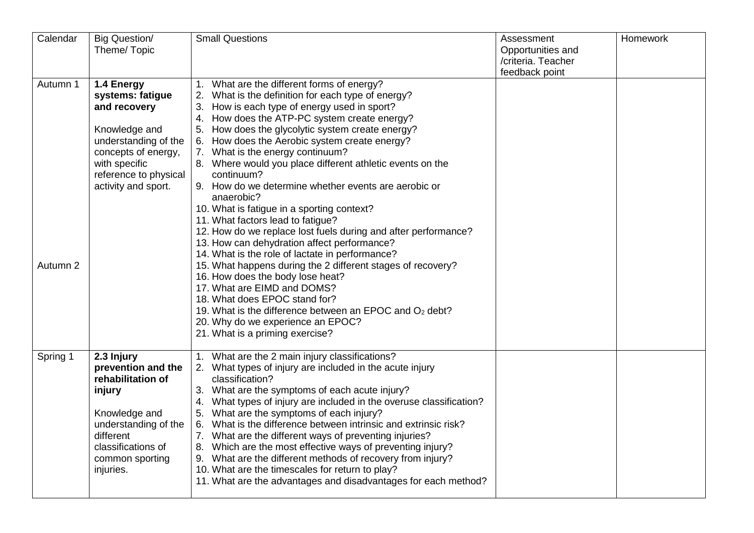| Calendar             | <b>Big Question/</b><br>Theme/Topic                                                                                                                                             | <b>Small Questions</b>                                                                                                                                                                                                                                                                                                                                                                                                                                                                                                                                                                                                                                                                                                                                                                                                                                                                                                                                                                                                                                                      | Assessment<br>Opportunities and<br>/criteria. Teacher<br>feedback point | Homework |
|----------------------|---------------------------------------------------------------------------------------------------------------------------------------------------------------------------------|-----------------------------------------------------------------------------------------------------------------------------------------------------------------------------------------------------------------------------------------------------------------------------------------------------------------------------------------------------------------------------------------------------------------------------------------------------------------------------------------------------------------------------------------------------------------------------------------------------------------------------------------------------------------------------------------------------------------------------------------------------------------------------------------------------------------------------------------------------------------------------------------------------------------------------------------------------------------------------------------------------------------------------------------------------------------------------|-------------------------------------------------------------------------|----------|
| Autumn 1<br>Autumn 2 | 1.4 Energy<br>systems: fatigue<br>and recovery<br>Knowledge and<br>understanding of the<br>concepts of energy,<br>with specific<br>reference to physical<br>activity and sport. | What are the different forms of energy?<br>$\mathbf{1}$ .<br>2. What is the definition for each type of energy?<br>3. How is each type of energy used in sport?<br>How does the ATP-PC system create energy?<br>4.<br>5. How does the glycolytic system create energy?<br>6. How does the Aerobic system create energy?<br>7. What is the energy continuum?<br>8. Where would you place different athletic events on the<br>continuum?<br>9. How do we determine whether events are aerobic or<br>anaerobic?<br>10. What is fatigue in a sporting context?<br>11. What factors lead to fatigue?<br>12. How do we replace lost fuels during and after performance?<br>13. How can dehydration affect performance?<br>14. What is the role of lactate in performance?<br>15. What happens during the 2 different stages of recovery?<br>16. How does the body lose heat?<br>17. What are EIMD and DOMS?<br>18. What does EPOC stand for?<br>19. What is the difference between an EPOC and $O2$ debt?<br>20. Why do we experience an EPOC?<br>21. What is a priming exercise? |                                                                         |          |
| Spring 1             | 2.3 Injury<br>prevention and the<br>rehabilitation of<br>injury<br>Knowledge and<br>understanding of the<br>different<br>classifications of<br>common sporting<br>injuries.     | 1. What are the 2 main injury classifications?<br>2. What types of injury are included in the acute injury<br>classification?<br>3. What are the symptoms of each acute injury?<br>What types of injury are included in the overuse classification?<br>4.<br>5. What are the symptoms of each injury?<br>6. What is the difference between intrinsic and extrinsic risk?<br>7. What are the different ways of preventing injuries?<br>8. Which are the most effective ways of preventing injury?<br>9. What are the different methods of recovery from injury?<br>10. What are the timescales for return to play?<br>11. What are the advantages and disadvantages for each method?                                                                                                                                                                                                                                                                                                                                                                                         |                                                                         |          |